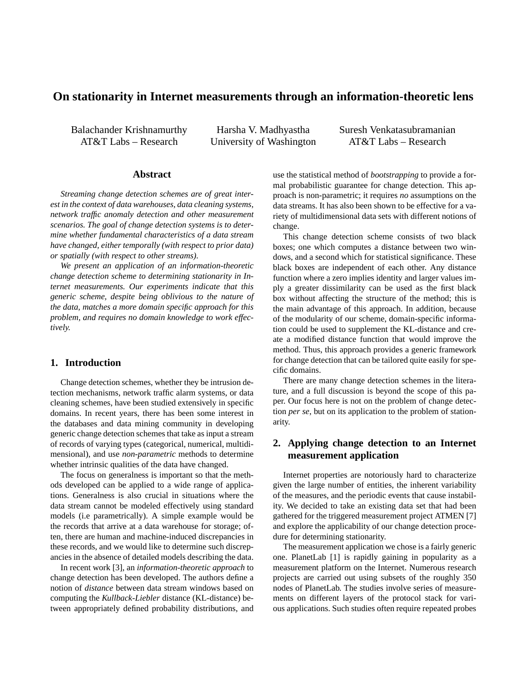# **On stationarity in Internet measurements through an information-theoretic lens**

Balachander Krishnamurthy AT&T Labs – Research

Harsha V. Madhyastha University of Washington Suresh Venkatasubramanian AT&T Labs – Research

### **Abstract**

*Streaming change detection schemes are of great interest in the context of data warehouses, data cleaning systems, network traffic anomaly detection and other measurement scenarios. The goal of change detection systems is to determine whether fundamental characteristics of a data stream have changed, either temporally (with respect to prior data) or spatially (with respect to other streams).*

*We present an application of an information-theoretic change detection scheme to determining stationarity in Internet measurements. Our experiments indicate that this generic scheme, despite being oblivious to the nature of the data, matches a more domain specific approach for this problem, and requires no domain knowledge to work effectively.*

### **1. Introduction**

Change detection schemes, whether they be intrusion detection mechanisms, network traffic alarm systems, or data cleaning schemes, have been studied extensively in specific domains. In recent years, there has been some interest in the databases and data mining community in developing generic change detection schemes that take as input a stream of records of varying types (categorical, numerical, multidimensional), and use *non-parametric* methods to determine whether intrinsic qualities of the data have changed.

The focus on generalness is important so that the methods developed can be applied to a wide range of applications. Generalness is also crucial in situations where the data stream cannot be modeled effectively using standard models (i.e parametrically). A simple example would be the records that arrive at a data warehouse for storage; often, there are human and machine-induced discrepancies in these records, and we would like to determine such discrepancies in the absence of detailed models describing the data.

In recent work [3], an *information-theoretic approach* to change detection has been developed. The authors define a notion of *distance* between data stream windows based on computing the *Kullback-Liebler* distance (KL-distance) between appropriately defined probability distributions, and use the statistical method of *bootstrapping* to provide a formal probabilistic guarantee for change detection. This approach is non-parametric; it requires *no* assumptions on the data streams. It has also been shown to be effective for a variety of multidimensional data sets with different notions of change.

This change detection scheme consists of two black boxes; one which computes a distance between two windows, and a second which for statistical significance. These black boxes are independent of each other. Any distance function where a zero implies identity and larger values imply a greater dissimilarity can be used as the first black box without affecting the structure of the method; this is the main advantage of this approach. In addition, because of the modularity of our scheme, domain-specific information could be used to supplement the KL-distance and create a modified distance function that would improve the method. Thus, this approach provides a generic framework for change detection that can be tailored quite easily for specific domains.

There are many change detection schemes in the literature, and a full discussion is beyond the scope of this paper. Our focus here is not on the problem of change detection *per se*, but on its application to the problem of stationarity.

### **2. Applying change detection to an Internet measurement application**

Internet properties are notoriously hard to characterize given the large number of entities, the inherent variability of the measures, and the periodic events that cause instability. We decided to take an existing data set that had been gathered for the triggered measurement project ATMEN [7] and explore the applicability of our change detection procedure for determining stationarity.

The measurement application we chose is a fairly generic one. PlanetLab [1] is rapidly gaining in popularity as a measurement platform on the Internet. Numerous research projects are carried out using subsets of the roughly 350 nodes of PlanetLab. The studies involve series of measurements on different layers of the protocol stack for various applications. Such studies often require repeated probes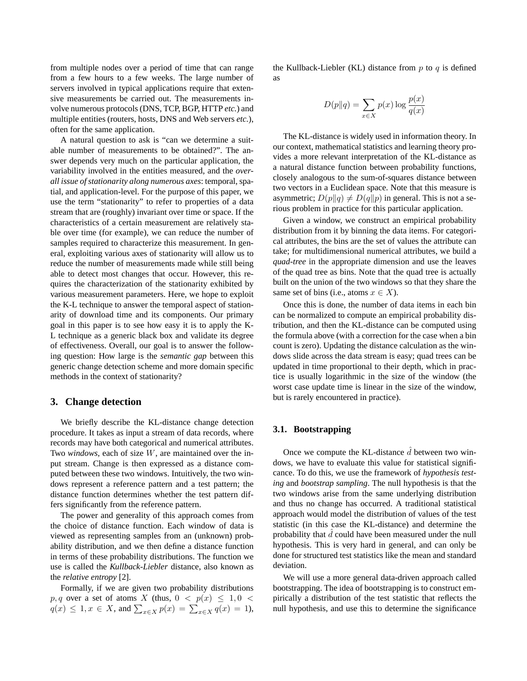from multiple nodes over a period of time that can range from a few hours to a few weeks. The large number of servers involved in typical applications require that extensive measurements be carried out. The measurements involve numerous protocols (DNS, TCP, BGP, HTTP *etc.*) and multiple entities (routers, hosts, DNS and Web servers *etc.*), often for the same application.

A natural question to ask is "can we determine a suitable number of measurements to be obtained?". The answer depends very much on the particular application, the variability involved in the entities measured, and the *overall issue of stationarity along numerous axes*: temporal, spatial, and application-level. For the purpose of this paper, we use the term "stationarity" to refer to properties of a data stream that are (roughly) invariant over time or space. If the characteristics of a certain measurement are relatively stable over time (for example), we can reduce the number of samples required to characterize this measurement. In general, exploiting various axes of stationarity will allow us to reduce the number of measurements made while still being able to detect most changes that occur. However, this requires the characterization of the stationarity exhibited by various measurement parameters. Here, we hope to exploit the K-L technique to answer the temporal aspect of stationarity of download time and its components. Our primary goal in this paper is to see how easy it is to apply the K-L technique as a generic black box and validate its degree of effectiveness. Overall, our goal is to answer the following question: How large is the *semantic gap* between this generic change detection scheme and more domain specific methods in the context of stationarity?

#### **3. Change detection**

We briefly describe the KL-distance change detection procedure. It takes as input a stream of data records, where records may have both categorical and numerical attributes. Two *windows*, each of size W, are maintained over the input stream. Change is then expressed as a distance computed between these two windows. Intuitively, the two windows represent a reference pattern and a test pattern; the distance function determines whether the test pattern differs significantly from the reference pattern.

The power and generality of this approach comes from the choice of distance function. Each window of data is viewed as representing samples from an (unknown) probability distribution, and we then define a distance function in terms of these probability distributions. The function we use is called the *Kullback-Liebler* distance, also known as the *relative entropy* [2].

Formally, if we are given two probability distributions  $p, q$  over a set of atoms X (thus,  $0 < p(x) \leq 1, 0 <$  $q(x) \leq 1, x \in X$ , and  $\sum_{x \in X} p(x) = \sum_{x \in X} q(x) = 1$ ,

the Kullback-Liebler (KL) distance from  $p$  to  $q$  is defined as

$$
D(p||q) = \sum_{x \in X} p(x) \log \frac{p(x)}{q(x)}
$$

The KL-distance is widely used in information theory. In our context, mathematical statistics and learning theory provides a more relevant interpretation of the KL-distance as a natural distance function between probability functions, closely analogous to the sum-of-squares distance between two vectors in a Euclidean space. Note that this measure is asymmetric;  $D(p||q) \neq D(q||p)$  in general. This is not a serious problem in practice for this particular application.

Given a window, we construct an empirical probability distribution from it by binning the data items. For categorical attributes, the bins are the set of values the attribute can take; for multidimensional numerical attributes, we build a *quad-tree* in the appropriate dimension and use the leaves of the quad tree as bins. Note that the quad tree is actually built on the union of the two windows so that they share the same set of bins (i.e., atoms  $x \in X$ ).

Once this is done, the number of data items in each bin can be normalized to compute an empirical probability distribution, and then the KL-distance can be computed using the formula above (with a correction for the case when a bin count is zero). Updating the distance calculation as the windows slide across the data stream is easy; quad trees can be updated in time proportional to their depth, which in practice is usually logarithmic in the size of the window (the worst case update time is linear in the size of the window, but is rarely encountered in practice).

#### **3.1. Bootstrapping**

Once we compute the KL-distance  $\hat{d}$  between two windows, we have to evaluate this value for statistical significance. To do this, we use the framework of *hypothesis testing* and *bootstrap sampling*. The null hypothesis is that the two windows arise from the same underlying distribution and thus no change has occurred. A traditional statistical approach would model the distribution of values of the test statistic (in this case the KL-distance) and determine the probability that  $\hat{d}$  could have been measured under the null hypothesis. This is very hard in general, and can only be done for structured test statistics like the mean and standard deviation.

We will use a more general data-driven approach called bootstrapping. The idea of bootstrapping is to construct empirically a distribution of the test statistic that reflects the null hypothesis, and use this to determine the significance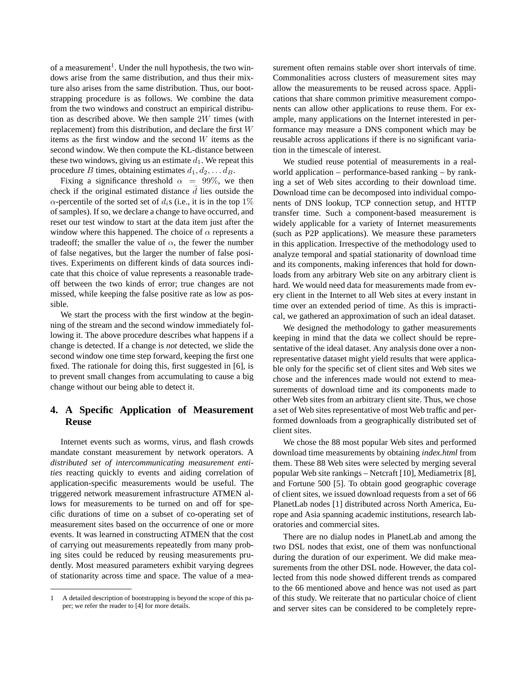of a measurement<sup>1</sup>. Under the null hypothesis, the two windows arise from the same distribution, and thus their mixture also arises from the same distribution. Thus, our bootstrapping procedure is as follows. We combine the data from the two windows and construct an empirical distribution as described above. We then sample 2W times (with replacement) from this distribution, and declare the first W items as the first window and the second W items as the second window. We then compute the KL-distance between these two windows, giving us an estimate  $d_1$ . We repeat this procedure B times, obtaining estimates  $d_1, d_2, \ldots d_B$ .

Fixing a significance threshold  $\alpha = 99\%$ , we then check if the original estimated distance  $\hat{d}$  lies outside the  $\alpha$ -percentile of the sorted set of  $d_i$ s (i.e., it is in the top 1%) of samples). If so, we declare a change to have occurred, and reset our test window to start at the data item just after the window where this happened. The choice of  $\alpha$  represents a tradeoff; the smaller the value of  $\alpha$ , the fewer the number of false negatives, but the larger the number of false positives. Experiments on different kinds of data sources indicate that this choice of value represents a reasonable tradeoff between the two kinds of error; true changes are not missed, while keeping the false positive rate as low as possible.

We start the process with the first window at the beginning of the stream and the second window immediately following it. The above procedure describes what happens if a change is detected. If a change is *not* detected, we slide the second window one time step forward, keeping the first one fixed. The rationale for doing this, first suggested in [6], is to prevent small changes from accumulating to cause a big change without our being able to detect it.

## **4. A Specific Application of Measurement Reuse**

Internet events such as worms, virus, and flash crowds mandate constant measurement by network operators. A *distributed set of intercommunicating measurement entities* reacting quickly to events and aiding correlation of application-specific measurements would be useful. The triggered network measurement infrastructure ATMEN allows for measurements to be turned on and off for specific durations of time on a subset of co-operating set of measurement sites based on the occurrence of one or more events. It was learned in constructing ATMEN that the cost of carrying out measurements repeatedly from many probing sites could be reduced by reusing measurements prudently. Most measured parameters exhibit varying degrees of stationarity across time and space. The value of a mea-

surement often remains stable over short intervals of time. Commonalities across clusters of measurement sites may allow the measurements to be reused across space. Applications that share common primitive measurement components can allow other applications to reuse them. For example, many applications on the Internet interested in performance may measure a DNS component which may be reusable across applications if there is no significant variation in the timescale of interest.

We studied reuse potential of measurements in a realworld application – performance-based ranking – by ranking a set of Web sites according to their download time. Download time can be decomposed into individual components of DNS lookup, TCP connection setup, and HTTP transfer time. Such a component-based measurement is widely applicable for a variety of Internet measurements (such as P2P applications). We measure these parameters in this application. Irrespective of the methodology used to analyze temporal and spatial stationarity of download time and its components, making inferences that hold for downloads from any arbitrary Web site on any arbitrary client is hard. We would need data for measurements made from every client in the Internet to all Web sites at every instant in time over an extended period of time. As this is impractical, we gathered an approximation of such an ideal dataset.

We designed the methodology to gather measurements keeping in mind that the data we collect should be representative of the ideal dataset. Any analysis done over a nonrepresentative dataset might yield results that were applicable only for the specific set of client sites and Web sites we chose and the inferences made would not extend to measurements of download time and its components made to other Web sites from an arbitrary client site. Thus, we chose a set of Web sites representative of most Web traffic and performed downloads from a geographically distributed set of client sites.

We chose the 88 most popular Web sites and performed download time measurements by obtaining *index.html* from them. These 88 Web sites were selected by merging several popular Web site rankings – Netcraft [10], Mediametrix [8], and Fortune 500 [5]. To obtain good geographic coverage of client sites, we issued download requests from a set of 66 PlanetLab nodes [1] distributed across North America, Europe and Asia spanning academic institutions, research laboratories and commercial sites.

There are no dialup nodes in PlanetLab and among the two DSL nodes that exist, one of them was nonfunctional during the duration of our experiment. We did make measurements from the other DSL node. However, the data collected from this node showed different trends as compared to the 66 mentioned above and hence was not used as part of this study. We reiterate that no particular choice of client and server sites can be considered to be completely repre-

<sup>1</sup> A detailed description of bootstrapping is beyond the scope of this paper; we refer the reader to [4] for more details.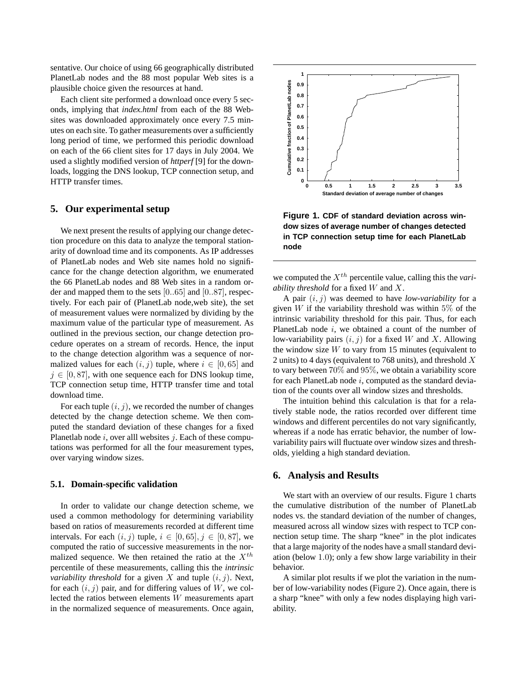sentative. Our choice of using 66 geographically distributed PlanetLab nodes and the 88 most popular Web sites is a plausible choice given the resources at hand.

Each client site performed a download once every 5 seconds, implying that *index.html* from each of the 88 Websites was downloaded approximately once every 7.5 minutes on each site. To gather measurements over a sufficiently long period of time, we performed this periodic download on each of the 66 client sites for 17 days in July 2004. We used a slightly modified version of *httperf* [9] for the downloads, logging the DNS lookup, TCP connection setup, and HTTP transfer times.

### **5. Our experimental setup**

We next present the results of applying our change detection procedure on this data to analyze the temporal stationarity of download time and its components. As IP addresses of PlanetLab nodes and Web site names hold no significance for the change detection algorithm, we enumerated the 66 PlanetLab nodes and 88 Web sites in a random order and mapped them to the sets [0..65] and [0..87], respectively. For each pair of (PlanetLab node,web site), the set of measurement values were normalized by dividing by the maximum value of the particular type of measurement. As outlined in the previous section, our change detection procedure operates on a stream of records. Hence, the input to the change detection algorithm was a sequence of normalized values for each  $(i, j)$  tuple, where  $i \in [0, 65]$  and  $j \in [0, 87]$ , with one sequence each for DNS lookup time, TCP connection setup time, HTTP transfer time and total download time.

For each tuple  $(i, j)$ , we recorded the number of changes detected by the change detection scheme. We then computed the standard deviation of these changes for a fixed Planetlab node i, over all websites j. Each of these computations was performed for all the four measurement types, over varying window sizes.

#### **5.1. Domain-specific validation**

In order to validate our change detection scheme, we used a common methodology for determining variability based on ratios of measurements recorded at different time intervals. For each  $(i, j)$  tuple,  $i \in [0, 65], j \in [0, 87]$ , we computed the ratio of successive measurements in the normalized sequence. We then retained the ratio at the  $X^{th}$ percentile of these measurements, calling this the *intrinsic variability threshold* for a given X and tuple  $(i, j)$ . Next, for each  $(i, j)$  pair, and for differing values of W, we collected the ratios between elements W measurements apart in the normalized sequence of measurements. Once again,



**Figure 1. CDF of standard deviation across window sizes of average number of changes detected in TCP connection setup time for each PlanetLab node**

we computed the  $X^{th}$  percentile value, calling this the *variability threshold* for a fixed W and X.

A pair (i, j) was deemed to have *low-variability* for a given W if the variability threshold was within  $5\%$  of the intrinsic variability threshold for this pair. Thus, for each PlanetLab node i, we obtained a count of the number of low-variability pairs  $(i, j)$  for a fixed W and X. Allowing the window size  $W$  to vary from 15 minutes (equivalent to 2 units) to 4 days (equivalent to 768 units), and threshold  $X$ to vary between 70% and 95%, we obtain a variability score for each PlanetLab node i, computed as the standard deviation of the counts over all window sizes and thresholds.

The intuition behind this calculation is that for a relatively stable node, the ratios recorded over different time windows and different percentiles do not vary significantly, whereas if a node has erratic behavior, the number of lowvariability pairs will fluctuate over window sizes and thresholds, yielding a high standard deviation.

#### **6. Analysis and Results**

We start with an overview of our results. Figure 1 charts the cumulative distribution of the number of PlanetLab nodes vs. the standard deviation of the number of changes, measured across all window sizes with respect to TCP connection setup time. The sharp "knee" in the plot indicates that a large majority of the nodes have a small standard deviation (below 1.0); only a few show large variability in their behavior.

A similar plot results if we plot the variation in the number of low-variability nodes (Figure 2). Once again, there is a sharp "knee" with only a few nodes displaying high variability.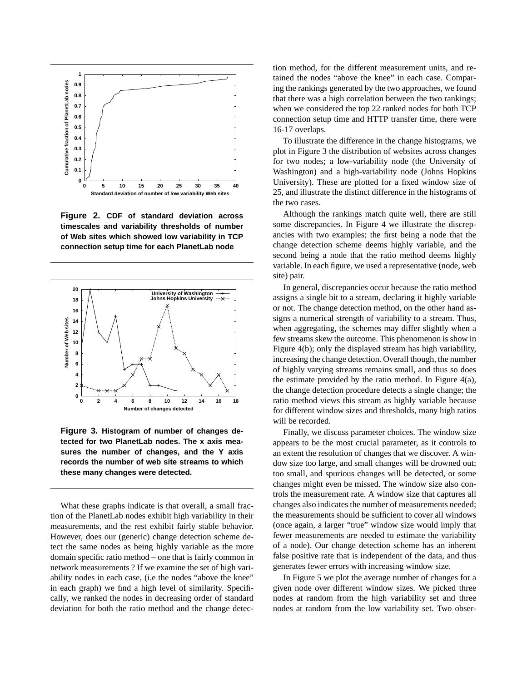

**Figure 2. CDF of standard deviation across timescales and variability thresholds of number of Web sites which showed low variability in TCP connection setup time for each PlanetLab node**



**Figure 3. Histogram of number of changes detected for two PlanetLab nodes. The x axis measures the number of changes, and the Y axis records the number of web site streams to which these many changes were detected.**

What these graphs indicate is that overall, a small fraction of the PlanetLab nodes exhibit high variability in their measurements, and the rest exhibit fairly stable behavior. However, does our (generic) change detection scheme detect the same nodes as being highly variable as the more domain specific ratio method – one that is fairly common in network measurements ? If we examine the set of high variability nodes in each case, (i.e the nodes "above the knee" in each graph) we find a high level of similarity. Specifically, we ranked the nodes in decreasing order of standard deviation for both the ratio method and the change detection method, for the different measurement units, and retained the nodes "above the knee" in each case. Comparing the rankings generated by the two approaches, we found that there was a high correlation between the two rankings; when we considered the top 22 ranked nodes for both TCP connection setup time and HTTP transfer time, there were 16-17 overlaps.

To illustrate the difference in the change histograms, we plot in Figure 3 the distribution of websites across changes for two nodes; a low-variability node (the University of Washington) and a high-variability node (Johns Hopkins University). These are plotted for a fixed window size of 25, and illustrate the distinct difference in the histograms of the two cases.

Although the rankings match quite well, there are still some discrepancies. In Figure 4 we illustrate the discrepancies with two examples; the first being a node that the change detection scheme deems highly variable, and the second being a node that the ratio method deems highly variable. In each figure, we used a representative (node, web site) pair.

In general, discrepancies occur because the ratio method assigns a single bit to a stream, declaring it highly variable or not. The change detection method, on the other hand assigns a numerical strength of variability to a stream. Thus, when aggregating, the schemes may differ slightly when a few streams skew the outcome. This phenomenon is show in Figure 4(b); only the displayed stream has high variability, increasing the change detection. Overall though, the number of highly varying streams remains small, and thus so does the estimate provided by the ratio method. In Figure 4(a), the change detection procedure detects a single change; the ratio method views this stream as highly variable because for different window sizes and thresholds, many high ratios will be recorded.

Finally, we discuss parameter choices. The window size appears to be the most crucial parameter, as it controls to an extent the resolution of changes that we discover. A window size too large, and small changes will be drowned out; too small, and spurious changes will be detected, or some changes might even be missed. The window size also controls the measurement rate. A window size that captures all changes also indicates the number of measurements needed; the measurements should be sufficient to cover all windows (once again, a larger "true" window size would imply that fewer measurements are needed to estimate the variability of a node). Our change detection scheme has an inherent false positive rate that is independent of the data, and thus generates fewer errors with increasing window size.

In Figure 5 we plot the average number of changes for a given node over different window sizes. We picked three nodes at random from the high variability set and three nodes at random from the low variability set. Two obser-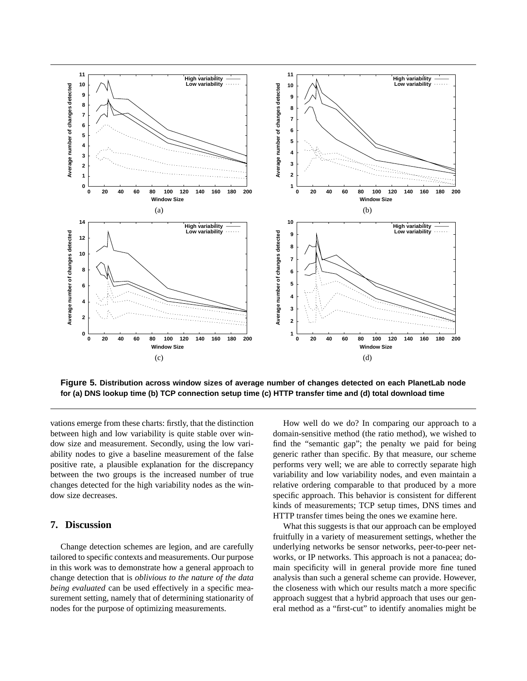

**Figure 5. Distribution across window sizes of average number of changes detected on each PlanetLab node for (a) DNS lookup time (b) TCP connection setup time (c) HTTP transfer time and (d) total download time**

vations emerge from these charts: firstly, that the distinction between high and low variability is quite stable over window size and measurement. Secondly, using the low variability nodes to give a baseline measurement of the false positive rate, a plausible explanation for the discrepancy between the two groups is the increased number of true changes detected for the high variability nodes as the window size decreases.

### **7. Discussion**

Change detection schemes are legion, and are carefully tailored to specific contexts and measurements. Our purpose in this work was to demonstrate how a general approach to change detection that is *oblivious to the nature of the data being evaluated* can be used effectively in a specific measurement setting, namely that of determining stationarity of nodes for the purpose of optimizing measurements.

How well do we do? In comparing our approach to a domain-sensitive method (the ratio method), we wished to find the "semantic gap"; the penalty we paid for being generic rather than specific. By that measure, our scheme performs very well; we are able to correctly separate high variability and low variability nodes, and even maintain a relative ordering comparable to that produced by a more specific approach. This behavior is consistent for different kinds of measurements; TCP setup times, DNS times and HTTP transfer times being the ones we examine here.

What this suggests is that our approach can be employed fruitfully in a variety of measurement settings, whether the underlying networks be sensor networks, peer-to-peer networks, or IP networks. This approach is not a panacea; domain specificity will in general provide more fine tuned analysis than such a general scheme can provide. However, the closeness with which our results match a more specific approach suggest that a hybrid approach that uses our general method as a "first-cut" to identify anomalies might be